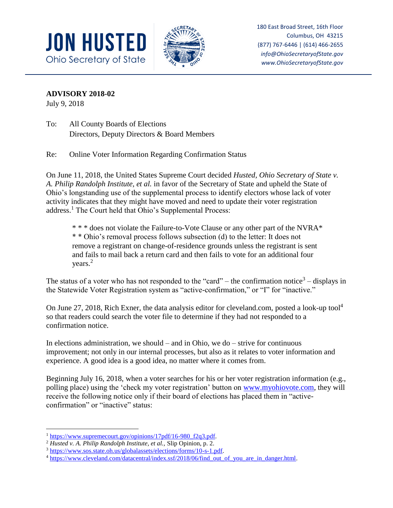



180 East Broad Street, 16th Floor Columbus, OH 43215 (877) 767-6446 | (614) 466-2655 *info@OhioSecretaryofState.gov www.OhioSecretaryofState.gov*

**ADVISORY 2018-02**

July 9, 2018

To: All County Boards of Elections Directors, Deputy Directors & Board Members

Re: Online Voter Information Regarding Confirmation Status

On June 11, 2018, the United States Supreme Court decided *Husted, Ohio Secretary of State v. A. Philip Randolph Institute, et al.* in favor of the Secretary of State and upheld the State of Ohio's longstanding use of the supplemental process to identify electors whose lack of voter activity indicates that they might have moved and need to update their voter registration address.<sup>1</sup> The Court held that Ohio's Supplemental Process:

\* \* \* does not violate the Failure-to-Vote Clause or any other part of the NVRA\* \* \* Ohio's removal process follows subsection (d) to the letter: It does not remove a registrant on change-of-residence grounds unless the registrant is sent and fails to mail back a return card and then fails to vote for an additional four years.<sup>2</sup>

The status of a voter who has not responded to the "card" – the confirmation notice<sup>3</sup> – displays in the Statewide Voter Registration system as "active-confirmation," or "I" for "inactive."

On June 27, 2018, Rich Exner, the data analysis editor for cleveland.com, posted a look-up tool<sup>4</sup> so that readers could search the voter file to determine if they had not responded to a confirmation notice.

In elections administration, we should  $-$  and in Ohio, we do  $-$  strive for continuous improvement; not only in our internal processes, but also as it relates to voter information and experience. A good idea is a good idea, no matter where it comes from.

Beginning July 16, 2018, when a voter searches for his or her voter registration information (e.g., polling place) using the 'check my voter registration' button on [www.myohiovote.com,](http://www.myohiovote.com/) they will receive the following notice only if their board of elections has placed them in "activeconfirmation" or "inactive" status:

 $\overline{a}$ <sup>1</sup> [https://www.supremecourt.gov/opinions/17pdf/16-980\\_f2q3.pdf.](https://www.supremecourt.gov/opinions/17pdf/16-980_f2q3.pdf)

<sup>2</sup> *Husted v. A. Philip Randolph Institute, et al.,* Slip Opinion, p. 2.

<sup>3</sup> [https://www.sos.state.oh.us/globalassets/elections/forms/10-s-1.pdf.](https://www.sos.state.oh.us/globalassets/elections/forms/10-s-1.pdf)

<sup>&</sup>lt;sup>4</sup> https://www.cleveland.com/datacentral/index.ssf/2018/06/find\_out\_of\_you\_are\_in\_danger.html.